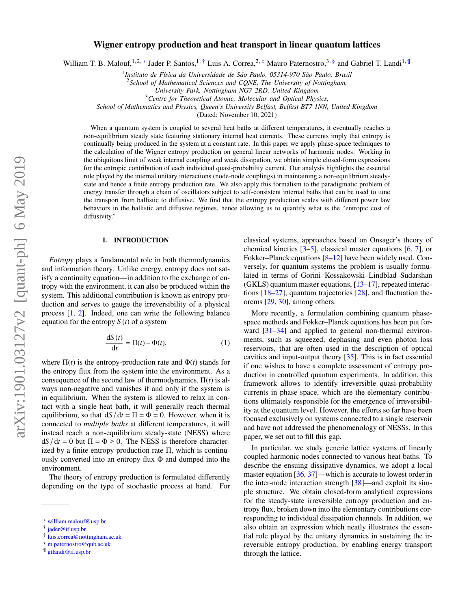# Wigner entropy production and heat transport in linear quantum lattices

William T. B. Malouf,<sup>1, 2,\*</sup> Jader P. Santos,<sup>1,[†](#page-0-1)</sup> Luis A. Correa,<sup>2,[‡](#page-0-2)</sup> Mauro Paternostro,<sup>3, [§](#page-0-3)</sup> and Gabriel T. Landi<sup>1,[¶](#page-0-4)</sup>

<sup>1</sup> Instituto de Física da Universidade de São Paulo, 05314-970 São Paulo, Brazil

<sup>2</sup>*School of Mathematical Sciences and CQNE, The University of Nottingham,*

<sup>3</sup>*Centre for Theoretical Atomic, Molecular and Optical Physics,*

*School of Mathematics and Physics, Queen's University Belfast, Belfast BT7 1NN, United Kingdom*

(Dated: November 10, 2021)

When a quantum system is coupled to several heat baths at different temperatures, it eventually reaches a non-equilibrium steady state featuring stationary internal heat currents. These currents imply that entropy is continually being produced in the system at a constant rate. In this paper we apply phase-space techniques to the calculation of the Wigner entropy production on general linear networks of harmonic nodes. Working in the ubiquitous limit of weak internal coupling and weak dissipation, we obtain simple closed-form expressions for the entropic contribution of each individual quasi-probability current. Our analysis highlights the essential role played by the internal unitary interactions (node-node couplings) in maintaining a non-equilibrium steadystate and hence a finite entropy production rate. We also apply this formalism to the paradigmatic problem of energy transfer through a chain of oscillators subject to self-consistent internal baths that can be used to tune the transport from ballistic to diffusive. We find that the entropy production scales with different power law behaviors in the ballistic and diffusive regimes, hence allowing us to quantify what is the "entropic cost of diffusivity."

## I. INTRODUCTION

*Entropy* plays a fundamental role in both thermodynamics and information theory. Unlike energy, entropy does not satisfy a continuity equation—in addition to the exchange of entropy with the environment, it can also be produced within the system. This additional contribution is known as entropy production and serves to gauge the irreversibility of a physical process [\[1,](#page-8-0) [2\]](#page-8-1). Indeed, one can write the following balance equation for the entropy  $S(t)$  of a system

<span id="page-0-5"></span>
$$
\frac{\mathrm{d}S(t)}{\mathrm{d}t} = \Pi(t) - \Phi(t),\tag{1}
$$

where  $\Pi(t)$  is the entropy-production rate and  $\Phi(t)$  stands for the entropy flux from the system into the environment. As a consequence of the second law of thermodynamics, Π(*t*) is always non-negative and vanishes if and only if the system is in equilibrium. When the system is allowed to relax in contact with a single heat bath, it will generally reach thermal equilibrium, so that  $dS/dt = \Pi = \Phi = 0$ . However, when it is connected to *multiple baths* at different temperatures, it will instead reach a non-equilibrium steady-state (NESS) where  $dS/dt = 0$  but  $\Pi = \Phi \ge 0$ . The NESS is therefore characterized by a finite entropy production rate Π, which is continuously converted into an entropy flux Φ and dumped into the environment.

The theory of entropy production is formulated differently depending on the type of stochastic process at hand. For classical systems, approaches based on Onsager's theory of chemical kinetics [\[3–](#page-8-2)[5\]](#page-8-3), classical master equations [\[6,](#page-8-4) [7\]](#page-8-5), or Fokker–Planck equations [\[8–](#page-8-6)[12\]](#page-8-7) have been widely used. Conversely, for quantum systems the problem is usually formulated in terms of Gorini–Kossakowski–Lindblad–Sudarshan  $(GKLS)$  quantum master equations,  $[13-17]$  $[13-17]$ , repeated interactions [\[18–](#page-8-10)[27\]](#page-9-0), quantum trajectories [\[28\]](#page-9-1), and fluctuation theorems [\[29,](#page-9-2) [30\]](#page-9-3), among others.

More recently, a formulation combining quantum phasespace methods and Fokker–Planck equations has been put for-ward [\[31–](#page-9-4)[34\]](#page-9-5) and applied to general non-thermal environments, such as squeezed, dephasing and even photon loss reservoirs, that are often used in the description of optical cavities and input-output theory [\[35\]](#page-9-6). This is in fact essential if one wishes to have a complete assessment of entropy production in controlled quantum experiments. In addition, this framework allows to identify irreversible quasi-probability currents in phase space, which are the elementary contributions ultimately responsible for the emergence of irreversibility at the quantum level. However, the efforts so far have been focused exclusively on systems connected to a single reservoir and have not addressed the phenomenology of NESSs. In this paper, we set out to fill this gap.

In particular, we study generic lattice systems of linearly coupled harmonic nodes connected to various heat baths. To describe the ensuing dissipative dynamics, we adopt a local master equation [\[36,](#page-9-7) [37\]](#page-9-8)—which is accurate to lowest order in the inter-node interaction strength [\[38\]](#page-9-9)—and exploit its simple structure. We obtain closed-form analytical expressions for the steady-state irreversible entropy production and entropy flux, broken down into the elementary contributions corresponding to individual dissipation channels. In addition, we also obtain an expression which neatly illustrates the essential role played by the unitary dynamics in sustaining the irreversible entropy production, by enabling energy transport through the lattice.

*University Park, Nottingham NG7 2RD, United Kingdom*

<span id="page-0-0"></span><sup>∗</sup> [william.malouf@usp.br](mailto:william.malouf@usp.br)

<span id="page-0-1"></span><sup>†</sup> [jader@if.usp.br](mailto:jader@if.usp.br)

<span id="page-0-2"></span><sup>‡</sup> [luis.correa@nottingham.ac.uk](mailto:luis.correa@nottingham.ac.uk)

<span id="page-0-3"></span><sup>§</sup> [m.paternostro@qub.ac.uk](mailto:m.paternostro@qub.ac.uk)

<span id="page-0-4"></span><sup>¶</sup> [gtlandi@if.usp.br](mailto:gtlandi@if.usp.br)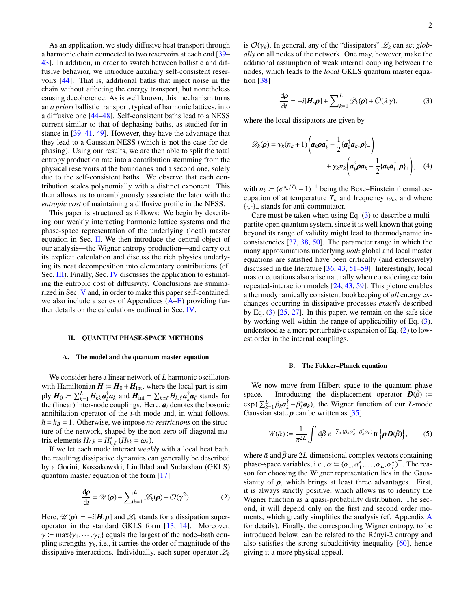As an application, we study diffusive heat transport through a harmonic chain connected to two reservoirs at each end [\[39–](#page-9-10) [43\]](#page-9-11). In addition, in order to switch between ballistic and diffusive behavior, we introduce auxiliary self-consistent reservoirs [\[44\]](#page-9-12). That is, additional baths that inject noise in the chain without affecting the energy transport, but nonetheless causing decoherence. As is well known, this mechanism turns an *a priori* ballistic transport, typical of harmonic lattices, into a diffusive one [\[44](#page-9-12)[–48\]](#page-9-13). Self-consistent baths lead to a NESS current similar to that of dephasing baths, as studied for instance in [\[39](#page-9-10)[–41,](#page-9-14) [49\]](#page-9-15). However, they have the advantage that they lead to a Gaussian NESS (which is not the case for dephasing). Using our results, we are then able to split the total entropy production rate into a contribution stemming from the physical reservoirs at the boundaries and a second one, solely due to the self-consistent baths. We observe that each contribution scales polynomially with a distinct exponent. This then allows us to unambiguously associate the later with the *entropic cost* of maintaining a diffusive profile in the NESS.

This paper is structured as follows: We begin by describing our weakly interacting harmonic lattice systems and the phase-space representation of the underlying (local) master equation in Sec. [II.](#page-1-0) We then introduce the central object of our analysis—the Wigner entropy production—and carry out its explicit calculation and discuss the rich physics underlying its neat decomposition into elementary contributions (cf. Sec. [III\)](#page-2-0). Finally, Sec. [IV](#page-3-0) discusses the application to estimating the entropic cost of diffusivity. Conclusions are summarized in Sec. [V](#page-6-0) and, in order to make this paper self-contained, we also include a series of Appendices [\(A](#page-6-1)[–E\)](#page-8-11) providing further details on the calculations outlined in Sec. [IV.](#page-3-0)

### <span id="page-1-0"></span>II. QUANTUM PHASE-SPACE METHODS

### A. The model and the quantum master equation

We consider here a linear network of *L* harmonic oscillators with Hamiltonian  $H = H_0 + H_{int}$ , where the local part is simply  $H_0 \coloneqq \sum_{k=1}^L H_{kk} a_k^{\dagger}$  $\int_{k}^{\dagger} a_{k}$  and  $H_{int} = \sum_{k \neq \ell} H_{k,\ell} a_{k}^{\dagger}$  $\int_{k}^{\infty} a_{\ell}$  stands for the (linear) inter-node couplings. Here,  $a_i$  denotes the bosonic annihilation operator of the *i*-th mode and, in what follows,  $\hbar$  =  $k_B$  = 1. Otherwise, we impose *no restrictions* on the structure of the network, shaped by the non-zero off-diagonal matrix elements  $H_{\ell,k} = H_{k,\ell}^*$  ( $H_{kk} = \omega_k$ ).<br>If we let each mode interact weak

If we let each mode interact *weakly* with a local heat bath, the resulting dissipative dynamics can generally be described by a Gorini, Kossakowski, Lindblad and Sudarshan (GKLS) quantum master equation of the form [\[17\]](#page-8-9)

<span id="page-1-2"></span>
$$
\frac{d\boldsymbol{\rho}}{dt} = \mathcal{U}(\boldsymbol{\rho}) + \sum_{k=1}^{L} \mathcal{L}_k(\boldsymbol{\rho}) + \mathcal{O}(\gamma^2).
$$
 (2)

Here,  $\mathcal{U}(\rho) := -i[H,\rho]$  and  $\mathcal{L}_k$  stands for a dissipation superoperator in the standard GKLS form [\[13,](#page-8-8) [14\]](#page-8-12). Moreover,  $\gamma := \max\{\gamma_1, \cdots, \gamma_L\}$  equals the largest of the node–bath coupling strengths  $\gamma_k$ , i.e., it carries the order of magnitude of the dissipative interactions. Individually, each super-operator  $\mathscr{L}_k$ 

is  $\mathcal{O}(\gamma_k)$ . In general, any of the "dissipators"  $\mathcal{L}_k$  can act *globally* on all nodes of the network. One may, however, make the additional assumption of weak internal coupling between the nodes, which leads to the *local* GKLS quantum master equation [\[38\]](#page-9-9)

<span id="page-1-3"></span><span id="page-1-1"></span>
$$
\frac{\mathrm{d}\boldsymbol{\rho}}{\mathrm{d}t} = -i[\boldsymbol{H},\boldsymbol{\rho}] + \sum_{k=1}^{L} \mathscr{D}_k(\boldsymbol{\rho}) + \mathcal{O}(\lambda \gamma). \tag{3}
$$

where the local dissipators are given by

$$
\mathscr{D}_k(\boldsymbol{\rho}) = \gamma_k(n_k+1) \left( \boldsymbol{a}_k \boldsymbol{\rho} \boldsymbol{a}_k^\dagger - \frac{1}{2} \{ \boldsymbol{a}_k^\dagger \boldsymbol{a}_k, \boldsymbol{\rho} \}_+ \right) + \gamma_k n_k \left( \boldsymbol{a}_k^\dagger \boldsymbol{\rho} \boldsymbol{a}_k - \frac{1}{2} \{ \boldsymbol{a}_k \boldsymbol{a}_k^\dagger, \boldsymbol{\rho} \}_+ \right), \quad (4)
$$

with  $n_k := (e^{\omega_k/T_k} - 1)^{-1}$  being the Bose–Einstein thermal occupation of at temperature  $T_k$  and frequency  $\omega_k$ , and where  $\{\cdot,\cdot\}_+$  stands for anti-commutator.

Care must be taken when using Eq. [\(3\)](#page-1-1) to describe a multipartite open quantum system, since it is well known that going beyond its range of validity might lead to thermodynamic inconsistencies [\[37,](#page-9-8) [38,](#page-9-9) [50\]](#page-9-16). The parameter range in which the many approximations underlying *both* global and local master equations are satisfied have been critically (and extensively) discussed in the literature [\[36,](#page-9-7) [43,](#page-9-11) [51](#page-9-17)[–59\]](#page-9-18). Interestingly, local master equations also arise naturally when considering certain repeated-interaction models [\[24,](#page-8-13) [43,](#page-9-11) [59\]](#page-9-18). This picture enables a thermodynamically consistent bookkeeping of *all* energy exchanges occurring in dissipative processes *exactly* described by Eq. [\(3\)](#page-1-1) [\[25,](#page-8-14) [27\]](#page-9-0). In this paper, we remain on the safe side by working well within the range of applicability of Eq. [\(3\)](#page-1-1), understood as a mere perturbative expansion of Eq. [\(2\)](#page-1-2) to lowest order in the internal couplings.

#### B. The Fokker–Planck equation

We now move from Hilbert space to the quantum phase space. Introducing the displacement operator  $\mathbf{D}(\bar{\beta}) :=$ <br>  $\exp\left(\sum_{k=1}^{L} \beta_k \mathbf{a}_k^{\dagger} - \beta_k^* \mathbf{a}_k\right)$ , the Wigner function of our *L*-mode<br>
Gaussian state **o** can be written as [35]  $k = \beta_k^* a_k$ , the Wigner function of our *L*-mode Gaussian state  $\rho$  can be written as [\[35\]](#page-9-6)

<span id="page-1-4"></span>
$$
W(\bar{\alpha}) := \frac{1}{\pi^{2L}} \int d\bar{\beta} \ e^{-\sum_{k} (\beta_{k} \alpha_{k}^{*} - \beta_{k}^{*} \alpha_{k})} \operatorname{tr} \left\{ \rho \mathbf{D}(\bar{\beta}) \right\},\tag{5}
$$

where  $\bar{\alpha}$  and  $\bar{\beta}$  are 2*L*-dimensional complex vectors containing phase-space variables, i.e.,  $\bar{\alpha} := (\alpha_1, \alpha_1^*, \dots, \alpha_L, \alpha_L^*)^T$ . The rea-<br>son for choosing the Wigner representation lies in the Gausson for choosing the Wigner representation lies in the Gaussianity of  $\rho$ , which brings at least three advantages. First, it is always strictly positive, which allows us to identify the Wigner function as a quasi-probability distribution. The second, it will depend only on the first and second order moments, which greatly simplifies the analysis (cf. Appendix [A](#page-6-1) for details). Finally, the corresponding Wigner entropy, to be introduced below, can be related to the Rényi-2 entropy and also satisfies the strong subadditivity inequality  $[60]$ , hence giving it a more physical appeal.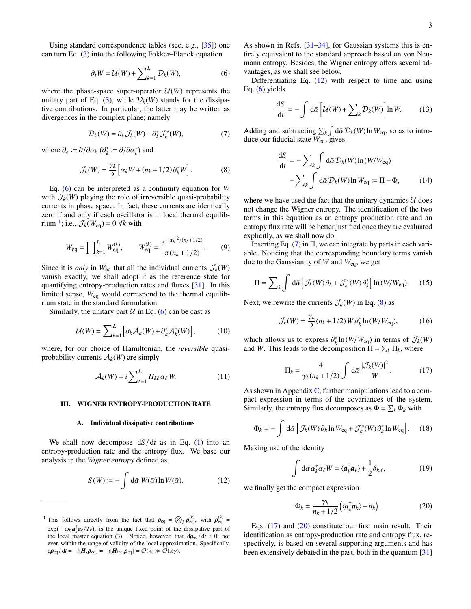Using standard correspondence tables (see, e.g., [\[35\]](#page-9-6)) one can turn Eq. [\(3\)](#page-1-1) into the following Fokker–Planck equation

<span id="page-2-1"></span>
$$
\partial_t W = \mathcal{U}(W) + \sum_{k=1}^L \mathcal{D}_k(W),\tag{6}
$$

where the phase-space super-operator  $U(W)$  represents the unitary part of Eq. [\(3\)](#page-1-1), while  $\mathcal{D}_k(W)$  stands for the dissipative contributions. In particular, the latter may be written as divergences in the complex plane; namely

<span id="page-2-4"></span>
$$
\mathcal{D}_k(W) = \partial_k \mathcal{J}_k(W) + \partial_k^* \mathcal{J}_k^*(W),\tag{7}
$$

where  $\partial_k := \partial/\partial \alpha_k$  ( $\partial_k^* := \partial/\partial \alpha_k^*$ ) and

<span id="page-2-5"></span>
$$
\mathcal{J}_k(W) = \frac{\gamma_k}{2} \Big[ \alpha_k W + (n_k + 1/2) \partial_k^* W \Big]. \tag{8}
$$

Eq. [\(6\)](#page-2-1) can be interpreted as a continuity equation for *W* with  $\mathcal{J}_k(W)$  playing the role of irreversible quasi-probability currents in phase space. In fact, these currents are identically zero if and only if each oscillator is in local thermal equilib-rium <sup>[1](#page-2-2)</sup>; i.e.,  $\mathcal{J}_k(W_{eq}) = 0 \ \forall k$  with

$$
W_{\text{eq}} = \prod_{k=1}^{L} W_{\text{eq}}^{(k)}, \qquad W_{\text{eq}}^{(k)} = \frac{e^{-|\alpha_k|^2/(n_k+1/2)}}{\pi(n_k+1/2)}.
$$
 (9)

Since it is *only* in  $W_{eq}$  that all the individual currents  $\mathcal{J}_k(W)$ vanish exactly, we shall adopt it as the reference state for quantifying entropy-production rates and fluxes [\[31\]](#page-9-4). In this limited sense, *W*eq would correspond to the thermal equilibrium state in the standard formulation.

Similarly, the unitary part  $U$  in Eq. [\(6\)](#page-2-1) can be cast as

<span id="page-2-9"></span>
$$
\mathcal{U}(W) = \sum_{k=1}^{L} \left[ \partial_k \mathcal{A}_k(W) + \partial_k^* \mathcal{A}_k^*(W) \right],\tag{10}
$$

where, for our choice of Hamiltonian, the *reversible* quasiprobability currents  $A_k(W)$  are simply

$$
\mathcal{A}_k(W) = i \sum_{\ell=1}^L H_{k\ell} \alpha_\ell W.
$$
 (11)

### <span id="page-2-0"></span>III. WIGNER ENTROPY-PRODUCTION RATE

## A. Individual dissipative contributions

We shall now decompose  $dS/dt$  as in Eq. [\(1\)](#page-0-5) into an entropy-production rate and the entropy flux. We base our analysis in the *Wigner entropy* defined as

<span id="page-2-3"></span>
$$
S(W) := -\int \mathrm{d}\bar{\alpha} \ W(\bar{\alpha}) \ln W(\bar{\alpha}). \tag{12}
$$

As shown in Refs.  $[31-34]$  $[31-34]$ , for Gaussian systems this is entirely equivalent to the standard approach based on von Neumann entropy. Besides, the Wigner entropy offers several advantages, as we shall see below.

Differentiating Eq.  $(12)$  with respect to time and using Eq. [\(6\)](#page-2-1) yields

$$
\frac{\mathrm{d}S}{\mathrm{d}t} = -\int \mathrm{d}\bar{\alpha} \left[ \mathcal{U}(W) + \sum_{k} \mathcal{D}_{k}(W) \right] \ln W. \tag{13}
$$

Adding and subtracting  $\sum_k \int d\bar{\alpha} \mathcal{D}_k(W) \ln W_{\text{eq}}$ , so as to intro-<br>duce our fiducial state  $W_{\text{eq}}$  sives duce our fiducial state *W*eq, gives

<span id="page-2-8"></span>
$$
\frac{dS}{dt} = -\sum_{k} \int d\bar{\alpha} \mathcal{D}_{k}(W) \ln(W/W_{\text{eq}})
$$

$$
-\sum_{k} \int d\bar{\alpha} \mathcal{D}_{k}(W) \ln W_{\text{eq}} := \Pi - \Phi, \qquad (14)
$$

where we have used the fact that the unitary dynamics  $U$  does not change the Wigner entropy. The identification of the two terms in this equation as an entropy production rate and an entropy flux rate will be better justified once they are evaluated explicitly, as we shall now do.

Inserting Eq.  $(7)$  in  $\Pi$ , we can integrate by parts in each variable. Noticing that the corresponding boundary terms vanish due to the Gaussianity of *W* and *W*eq, we get

$$
\Pi = \sum_{k} \int d\bar{\alpha} \left[ \mathcal{J}_{k}(W) \partial_{k} + \mathcal{J}_{k}^{*}(W) \partial_{k}^{*} \right] \ln(W/W_{\text{eq}}). \tag{15}
$$

Next, we rewrite the currents  $\mathcal{J}_k(W)$  in Eq. [\(8\)](#page-2-5) as

<span id="page-2-11"></span>
$$
\mathcal{J}_k(W) = \frac{\gamma_k}{2} (n_k + 1/2) W \partial_k^* \ln(W/W_{\text{eq}}), \tag{16}
$$

which allows us to express  $\partial_k^* \ln(W/W_{eq})$  in terms of  $\mathcal{J}_k(W)$ <br>and W. This leads to the decomposition  $\Pi = \nabla \cdot \Pi_k$ , where and *W*. This leads to the decomposition  $\Pi = \sum_k \Pi_k$ , where

<span id="page-2-6"></span>
$$
\Pi_k = \frac{4}{\gamma_k (n_k + 1/2)} \int \mathrm{d}\bar{\alpha} \, \frac{|\mathcal{J}_k(W)|^2}{W}.\tag{17}
$$

As shown in Appendix  $C$ , further manipulations lead to a compact expression in terms of the covariances of the system. Similarly, the entropy flux decomposes as  $\Phi = \sum_k \Phi_k$  with

$$
\Phi_k = -\int d\bar{\alpha} \left[ \mathcal{J}_k(W) \partial_k \ln W_{\text{eq}} + \mathcal{J}_k^*(W) \partial_k^* \ln W_{\text{eq}} \right]. \tag{18}
$$

Making use of the identity

<span id="page-2-10"></span>
$$
\int d\bar{\alpha} \alpha_k^* \alpha_\ell W = \langle \mathbf{a}_k^\dagger \mathbf{a}_\ell \rangle + \frac{1}{2} \delta_{k,\ell},\tag{19}
$$

we finally get the compact expression

<span id="page-2-7"></span>
$$
\Phi_k = \frac{\gamma_k}{n_k + 1/2} \left( \langle \mathbf{a}_k^{\dagger} \mathbf{a}_k \rangle - n_k \right). \tag{20}
$$

Eqs. [\(17\)](#page-2-6) and [\(20\)](#page-2-7) constitute our first main result. Their identification as entropy-production rate and entropy flux, respectively, is based on several supporting arguments and has been extensively debated in the past, both in the quantum [\[31\]](#page-9-4)

<span id="page-2-2"></span><sup>&</sup>lt;sup>1</sup> This follows directly from the fact that  $\rho_{eq} = \bigotimes_k \rho_{eq}^{(k)}$ , with  $\rho_{eq}^{(k)}$  $\exp(-\omega_k \mathbf{a}_k^{\dagger} \mathbf{a}_k/T_k)$ , is the unique fixed point of the dissipative part of the local master equation (3). Notice, however, that  $d\mathbf{a}_{k-1}/d\mathbf{r}$  of not  $k\Delta p(\theta) = \omega_k \alpha_k \mu_k / T_k$ , is the unique fixed point of the local master equation [\(3\)](#page-1-1). Notice, however, that  $\Phi_{eq} / dt \neq 0$ ; notice, that degrade equation system even within the range of validity of the local approximation. Specifically,  $d\boldsymbol{\rho}_{eq}/dt = -i[\boldsymbol{H},\boldsymbol{\rho}_{eq}] = -i[\boldsymbol{H}_{int},\boldsymbol{\rho}_{eq}] = \mathcal{O}(\lambda) \gg \mathcal{O}(\lambda \gamma).$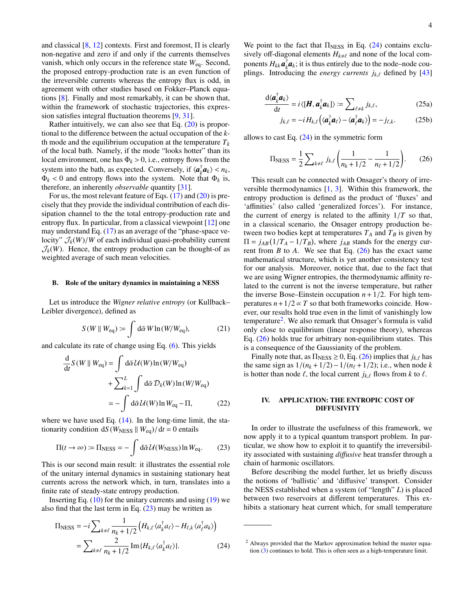and classical  $[8, 12]$  $[8, 12]$  $[8, 12]$  contexts. First and foremost,  $\Pi$  is clearly non-negative and zero if and only if the currents themselves vanish, which only occurs in the reference state *W*eq. Second, the proposed entropy-production rate is an even function of the irreversible currents whereas the entropy flux is odd, in agreement with other studies based on Fokker–Planck equations [\[8\]](#page-8-6). Finally and most remarkably, it can be shown that, within the framework of stochastic trajectories, this expression satisfies integral fluctuation theorems [\[9,](#page-8-15) [31\]](#page-9-4).

Rather intuitively, we can also see that Eq. [\(20\)](#page-2-7) is proportional to the difference between the actual occupation of the *k*th mode and the equilibrium occupation at the temperature  $T_k$ of the local bath. Namely, if the mode "looks hotter" than its local environment, one has  $\Phi_k > 0$ , i.e., entropy flows from the system into the bath, as expected. Conversely, if  $\langle a_i^{\dagger} \rangle$  $\{a_k\}$  <  $n_k$ ,<br>hat  $\Phi$ <sub>*k*</sub> is  $\Phi_k$  < 0 and entropy flows into the system. Note that  $\Phi_k$  is, therefore, an inherently *observable* quantity [\[31\]](#page-9-4).

For us, the most relevant feature of Eqs. [\(17\)](#page-2-6) and [\(20\)](#page-2-7) is precisely that they provide the individual contribution of each dissipation channel to the the total entropy-production rate and entropy flux. In particular, from a classical viewpoint [\[12\]](#page-8-7) one may understand Eq. [\(17\)](#page-2-6) as an average of the "phase-space velocity"  $\mathcal{J}_k(W)/W$  of each individual quasi-probability current  $\mathcal{J}_k(W)$ . Hence, the entropy production can be thought-of as weighted average of such mean velocities.

## B. Role of the unitary dynamics in maintaining a NESS

Let us introduce the *Wigner relative entropy* (or Kullback– Leibler divergence), defined as

$$
S(W \parallel W_{\text{eq}}) \coloneqq \int \mathrm{d}\bar{\alpha} \, W \ln(W/W_{\text{eq}}), \tag{21}
$$

and calculate its rate of change using Eq. [\(6\)](#page-2-1). This yields

$$
\frac{d}{dt}S(W \parallel W_{eq}) = \int d\bar{\alpha} \mathcal{U}(W) \ln(W/W_{eq})
$$

$$
+ \sum_{k=1}^{L} \int d\bar{\alpha} \mathcal{D}_k(W) \ln(W/W_{eq})
$$

$$
= - \int d\bar{\alpha} \mathcal{U}(W) \ln W_{eq} - \Pi,
$$
(22)

where we have used Eq.  $(14)$ . In the long-time limit, the stationarity condition d*S* ( $W_{\text{NESS}} || W_{\text{eq}}$ )/dt = 0 entails

<span id="page-3-1"></span>
$$
\Pi(t \to \infty) := \Pi_{\text{NESS}} = -\int d\bar{\alpha} \, \mathcal{U}(W_{\text{NESS}}) \ln W_{\text{eq}}.\tag{23}
$$

This is our second main result: it illustrates the essential role of the unitary internal dynamics in sustaining stationary heat currents across the network which, in turn, translates into a finite rate of steady-state entropy production.

Inserting Eq.  $(10)$  for the unitary currents and using  $(19)$  we also find that the last term in Eq.  $(23)$  may be written as

$$
\Pi_{\text{NESS}} = -i \sum_{k \neq \ell} \frac{1}{n_k + 1/2} \left( H_{k,\ell} \langle a_k^{\dagger} a_{\ell} \rangle - H_{\ell,k} \langle a_{\ell}^{\dagger} a_k \rangle \right)
$$

$$
= \sum_{k \neq \ell} \frac{2}{n_k + 1/2} \operatorname{Im} \{ H_{k,\ell} \langle a_k^{\dagger} a_{\ell} \rangle \}.
$$
(24)

We point to the fact that  $\Pi_{\text{NESS}}$  in Eq. [\(24\)](#page-3-2) contains exclusively off-diagonal elements  $H_{k\neq\ell}$  and none of the local components  $H_{kk} \vec{a}_{k}^{\dagger}$  $\bar{k}$ *a*<sub>*k*</sub>; it is thus entirely due to the node–node couplings. Introducing the *energy currents j<sub>k,t</sub>* defined by [\[43\]](#page-9-11)

$$
\frac{\mathrm{d}\langle \mathbf{a}_k^\dagger \mathbf{a}_k \rangle}{\mathrm{d}t} = i \langle [\mathbf{H}, \mathbf{a}_k^\dagger \mathbf{a}_k] \rangle := \sum_{\ell \neq k} j_{k,\ell},\tag{25a}
$$

<span id="page-3-5"></span>
$$
j_{k,\ell} = -i H_{k,\ell} \left( \langle \mathbf{a}_k^{\dagger} \mathbf{a}_{\ell} \rangle - \langle \mathbf{a}_\ell^{\dagger} \mathbf{a}_{k} \rangle \right) = -j_{\ell,k}.
$$
 (25b)

allows to cast Eq.  $(24)$  in the symmetric form

<span id="page-3-3"></span>
$$
\Pi_{\text{NESS}} = \frac{1}{2} \sum_{k \neq \ell} j_{k,\ell} \left( \frac{1}{n_k + 1/2} - \frac{1}{n_{\ell} + 1/2} \right). \tag{26}
$$

This result can be connected with Onsager's theory of irreversible thermodynamics [\[1,](#page-8-0) [3\]](#page-8-2). Within this framework, the entropy production is defined as the product of 'fluxes' and 'affinities' (also called 'generalized forces'). For instance, the current of energy is related to the affinity  $1/T$  so that, in a classical scenario, the Onsager entropy production between two bodies kept at temperatures  $T_A$  and  $T_B$  is given by  $\Pi = j_{AB} (1/T_A - 1/T_B)$ , where  $j_{AB}$  stands for the energy cur-<br>rent from *B* to *A*. We see that Eq. (26) has the exact same rent from  $B$  to  $A$ . We see that Eq.  $(26)$  has the exact same mathematical structure, which is yet another consistency test for our analysis. Moreover, notice that, due to the fact that we are using Wigner entropies, the thermodynamic affinity related to the current is not the inverse temperature, but rather the inverse Bose–Einstein occupation  $n + 1/2$ . For high temperatures  $n+1/2 \propto T$  so that both frameworks coincide. However, our results hold true even in the limit of vanishingly low temperature<sup>[2](#page-3-4)</sup>. We also remark that Onsager's formula is valid only close to equilibrium (linear response theory), whereas Eq. [\(26\)](#page-3-3) holds true for arbitrary non-equilibrium states. This is a consequence of the Gaussianity of the problem.

Finally note that, as  $\Pi_{\text{NESS}} \geq 0$ , Eq. [\(26\)](#page-3-3) implies that  $j_{k,\ell}$  has the same sign as  $1/(n_k + 1/2) - 1/(n_\ell + 1/2)$ ; i.e., when node *k* is hotter than node  $\ell$ , the local current  $j_{k,\ell}$  flows from  $k$  to  $\ell$ .

### <span id="page-3-0"></span>IV. APPLICATION: THE ENTROPIC COST OF DIFFUSIVITY

In order to illustrate the usefulness of this framework, we now apply it to a typical quantum transport problem. In particular, we show how to exploit it to quantify the irreversibility associated with sustaining *di*ff*usive* heat transfer through a chain of harmonic oscillators.

Before describing the model further, let us briefly discuss the notions of 'ballistic' and 'diffusive' transport. Consider the NESS established when a system (of "length" *L*) is placed between two reservoirs at different temperatures. This exhibits a stationary heat current which, for small temperature

<span id="page-3-4"></span><span id="page-3-2"></span><sup>&</sup>lt;sup>2</sup> Always provided that the Markov approximation behind the master equation [\(3\)](#page-1-1) continues to hold. This is often seen as a high-temperature limit.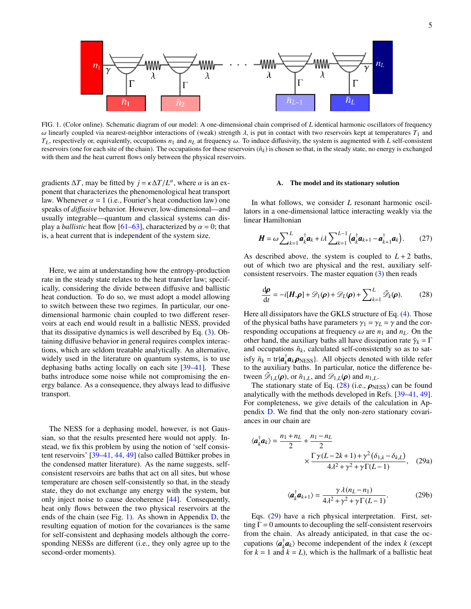

<span id="page-4-0"></span>FIG. 1. (Color online). Schematic diagram of our model: A one-dimensional chain comprised of *L* identical harmonic oscillators of frequency  $ω$  linearly coupled via nearest-neighbor interactions of (weak) strength  $λ$ , is put in contact with two reservoirs kept at temperatures  $T_1$  and  $T_L$ , respectively or, equivalently, occupations  $n_1$  and  $n_L$  at frequency  $\omega$ . To induce diffusivity, the system is augmented with *L* self-consistent reservoirs (one for each site of the chain). The occupations for these reservoirs  $(\tilde{n}_k)$  is chosen so that, in the steady state, no energy is exchanged with them and the heat current flows only between the physical reservoirs.

gradients  $\Delta T$ , may be fitted by  $j = \kappa \Delta T / L^{\alpha}$ , where  $\alpha$  is an ex-<br>ponent that characterizes the phenomenological heat transport ponent that characterizes the phenomenological heat transport law. Whenever  $\alpha = 1$  (i.e., Fourier's heat conduction law) one speaks of *di*ff*usive* behavior. However, low-dimensional—and usually integrable—quantum and classical systems can display a *ballistic* heat flow [\[61–](#page-9-20)[63\]](#page-9-21), characterized by  $\alpha = 0$ ; that is, a heat current that is independent of the system size.

Here, we aim at understanding how the entropy-production rate in the steady state relates to the heat transfer law; specifically, considering the divide between diffusive and ballistic heat conduction. To do so, we must adopt a model allowing to switch between these two regimes. In particular, our onedimensional harmonic chain coupled to two different reservoirs at each end would result in a ballistic NESS, provided that its dissipative dynamics is well described by Eq. [\(3\)](#page-1-1). Obtaining diffusive behavior in general requires complex interactions, which are seldom treatable analytically. An alternative, widely used in the literature on quantum systems, is to use dephasing baths acting locally on each site [\[39–](#page-9-10)[41\]](#page-9-14). These baths introduce some noise while not compromising the energy balance. As a consequence, they always lead to diffusive transport.

The NESS for a dephasing model, however, is not Gaussian, so that the results presented here would not apply. Instead, we fix this problem by using the notion of 'self consistent reservoirs'  $[39-41, 44, 49]$  $[39-41, 44, 49]$  $[39-41, 44, 49]$  $[39-41, 44, 49]$  $[39-41, 44, 49]$  (also called Büttiker probes in the condensed matter literature). As the name suggests, selfconsistent reservoirs are baths that act on all sites, but whose temperature are chosen self-consistently so that, in the steady state, they do not exchange any energy with the system, but only inject noise to cause decoherence [\[44\]](#page-9-12). Consequently, heat only flows between the two physical reservoirs at the ends of the chain (see Fig. [1\)](#page-4-0). As shown in Appendix [D,](#page-7-1) the resulting equation of motion for the covariances is the same for self-consistent and dephasing models although the corresponding NESSs are different (i.e., they only agree up to the second-order moments).

### <span id="page-4-5"></span>A. The model and its stationary solution

In what follows, we consider *L* resonant harmonic oscillators in a one-dimensional lattice interacting weakly via the linear Hamiltonian

<span id="page-4-4"></span>
$$
\boldsymbol{H} = \omega \sum_{k=1}^{L} \boldsymbol{a}_{k}^{\dagger} \boldsymbol{a}_{k} + i \lambda \sum_{k=1}^{L-1} (\boldsymbol{a}_{k}^{\dagger} \boldsymbol{a}_{k+1} - \boldsymbol{a}_{k+1}^{\dagger} \boldsymbol{a}_{k}).
$$
 (27)

As described above, the system is coupled to  $L + 2$  baths, out of which two are physical and the rest, auxiliary selfconsistent reservoirs. The master equation [\(3\)](#page-1-1) then reads

<span id="page-4-1"></span>
$$
\frac{\mathrm{d}\boldsymbol{\rho}}{\mathrm{d}t} = -i[\boldsymbol{H},\boldsymbol{\rho}] + \mathscr{D}_1(\boldsymbol{\rho}) + \mathscr{D}_L(\boldsymbol{\rho}) + \sum_{k=1}^L \tilde{\mathscr{D}}_k(\boldsymbol{\rho}).\tag{28}
$$

Here all dissipators have the GKLS structure of Eq. [\(4\)](#page-1-3). Those of the physical baths have parameters  $\gamma_1 = \gamma_L = \gamma$  and the corresponding occupations at frequency  $\omega$  are  $n_1$  and  $n_L$ . On the other hand, the auxiliary baths all have dissipation rate  $\tilde{\gamma}_k = \Gamma$ and occupations  $\tilde{n}_k$ , calculated self-consistently so as to satisfy  $\tilde{n}_k = \text{tr}\{\boldsymbol{a}_k^\dagger\}$  $\chi^{\dagger}_{\bf k} a_{\bf k} \rho_{\rm NESS}$ }. All objects denoted with tilde reference beto the auxiliary baths. In particular, notice the difference between  $\tilde{\mathcal{D}}_{1,L}(\rho)$ , or  $\tilde{n}_{1,L}$ , and  $\mathcal{D}_{1,L}(\rho)$  and  $n_{1,L}$ .<br>The stationary state of Eq. (28) (i.e.  $\rho_{NT}$ 

The stationary state of Eq. [\(28\)](#page-4-1) (i.e.,  $\rho_{\text{NESS}}$ ) can be found analytically with the methods developed in Refs. [\[39](#page-9-10)[–41,](#page-9-14) [49\]](#page-9-15). For completeness, we give details of the calculation in Appendix [D.](#page-7-1) We find that the only non-zero stationary covariances in our chain are

<span id="page-4-2"></span>
$$
\langle \mathbf{a}_k^{\dagger} \mathbf{a}_k \rangle = \frac{n_1 + n_L}{2} + \frac{n_1 - n_L}{2}
$$

$$
\times \frac{\Gamma \gamma (L - 2k + 1) + \gamma^2 (\delta_{1,k} - \delta_{k,L})}{4\lambda^2 + \gamma^2 + \gamma \Gamma (L - 1)}, \quad (29a)
$$

<span id="page-4-6"></span><span id="page-4-3"></span>
$$
\langle \mathbf{a}_{k}^{\dagger} \mathbf{a}_{k+1} \rangle = \frac{\gamma \lambda (n_L - n_1)}{4\lambda^2 + \gamma^2 + \gamma \Gamma (L - 1)}.
$$
 (29b)

Eqs. [\(29\)](#page-4-2) have a rich physical interpretation. First, setting  $\Gamma = 0$  amounts to decoupling the self-consistent reservoirs from the chain. As already anticipated, in that case the occupations  $\langle a_k^{\dagger}$  $\chi^{\dagger}a_k$ ) become independent of the index *k* (except for  $k = 1$  and  $k = L$ ), which is the hallmark of a ballistic heat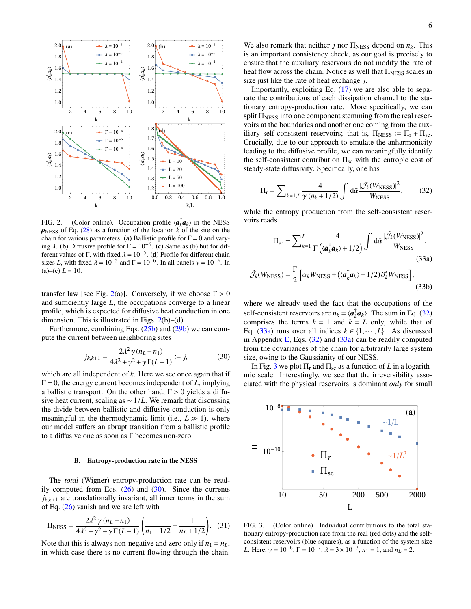

<span id="page-5-0"></span>FIG. 2. (Color online). Occupation profile  $\langle a_i^{\dagger} \rangle$  $\binom{a_k}{k}$  in the NESS  $\rho_{\text{NESS}}$  of Eq. [\(28\)](#page-4-1) as a function of the location  $\hat{k}$  of the site on the chain for various parameters. (a) Ballistic profile for  $\Gamma = 0$  and varying  $\lambda$ . (b) Diffusive profile for  $\Gamma = 10^{-6}$ . (c) Same as (b) but for different values of  $\Gamma$  with fixed  $\lambda = 10^{-5}$  (d) Profile for different chain ferent values of Γ, with fixed  $\lambda = 10^{-5}$ . (d) Profile for different chain sizes *L* with fixed  $\lambda = 10^{-5}$  and  $\Gamma = 10^{-6}$  In all panels  $\gamma = 10^{-5}$  In sizes *L*, with fixed  $\lambda = 10^{-5}$  and  $\Gamma = 10^{-6}$ . In all panels  $\gamma = 10^{-5}$ . In  $(a)$ —(c)  $I = 10$  $(a)$ –(c)  $L = 10$ .

transfer law [see Fig. [2\(](#page-5-0)a)]. Conversely, if we choose  $\Gamma > 0$ and sufficiently large *L*, the occupations converge to a linear profile, which is expected for diffusive heat conduction in one dimension. This is illustrated in Figs.  $2(b)$  $2(b)$ –(d).

Furthermore, combining Eqs. [\(25b\)](#page-3-5) and [\(29b\)](#page-4-3) we can compute the current between neighboring sites

<span id="page-5-1"></span>
$$
j_{k,k+1} = \frac{2\lambda^2 \gamma (n_L - n_1)}{4\lambda^2 + \gamma^2 + \gamma \Gamma(L - 1)} := j,
$$
 (30)

which are all independent of *k*. Here we see once again that if  $\Gamma = 0$ , the energy current becomes independent of *L*, implying a ballistic transport. On the other hand,  $\Gamma > 0$  yields a diffusive heat current, scaling as <sup>∼</sup> <sup>1</sup>/*L*. We remark that discussing the divide between ballistic and diffusive conduction is only meaningful in the thermodynamic limit (i.e.,  $L \gg 1$ ), where our model suffers an abrupt transition from a ballistic profile to a diffusive one as soon as Γ becomes non-zero.

### B. Entropy-production rate in the NESS

The *total* (Wigner) entropy-production rate can be readily computed from Eqs.  $(26)$  and  $(30)$ . Since the currents  $j_{k,k+1}$  are translationally invariant, all inner terms in the sum of Eq. [\(26\)](#page-3-3) vanish and we are left with

<span id="page-5-5"></span>
$$
\Pi_{\text{NESS}} = \frac{2\lambda^2 \gamma (n_L - n_1)}{4\lambda^2 + \gamma^2 + \gamma \Gamma(L - 1)} \left( \frac{1}{n_1 + 1/2} - \frac{1}{n_L + 1/2} \right). \tag{31}
$$

Note that this is always non-negative and zero only if  $n_1 = n_L$ , in which case there is no current flowing through the chain.

We also remark that neither *j* nor  $\Pi_{\text{NESS}}$  depend on  $\tilde{n}_k$ . This is an important consistency check, as our goal is precisely to ensure that the auxiliary reservoirs do not modify the rate of heat flow across the chain. Notice as well that  $\Pi_{\text{NESS}}$  scales in size just like the rate of heat exchange *j*.

Importantly, exploiting Eq. [\(17\)](#page-2-6) we are also able to separate the contributions of each dissipation channel to the stationary entropy-production rate. More specifically, we can split  $\Pi_{\text{NESS}}$  into one component stemming from the real reservoirs at the boundaries and another one coming from the auxiliary self-consistent reservoirs; that is,  $\Pi_{\text{NESS}} := \Pi_{\text{r}} + \Pi_{\text{sc}}$ . Crucially, due to our approach to emulate the anharmonicity leading to the diffusive profile, we can meaningfully identify the self-consistent contribution  $\Pi_{\rm sc}$  with the entropic cost of steady-state diffusivity. Specifically, one has

<span id="page-5-2"></span>
$$
\Pi_{\rm r} = \sum_{k=1,L} \frac{4}{\gamma (n_k + 1/2)} \int d\bar{\alpha} \frac{|\mathcal{J}_k(W_{\rm NESS})|^2}{W_{\rm NESS}},\qquad(32)
$$

while the entropy production from the self-consistent reservoirs reads

<span id="page-5-6"></span><span id="page-5-3"></span>
$$
\Pi_{\rm sc} = \sum_{k=1}^{L} \frac{4}{\Gamma\left(\langle \mathbf{a}_{k}^{\dagger} \mathbf{a}_{k} \rangle + 1/2\right)} \int d\bar{\alpha} \frac{|\tilde{\mathcal{J}}_{k}(W_{\rm NESS})|^{2}}{W_{\rm NESS}},
$$
\n(33a)

$$
\tilde{\mathcal{J}}_k(W_{\text{NESS}}) = \frac{\Gamma}{2} \left[ \alpha_k W_{\text{NESS}} + (\langle \mathbf{a}_k^{\dagger} \mathbf{a}_k \rangle + 1/2) \partial_k^* W_{\text{NESS}} \right],
$$
\n(33b)

where we already used the fact that the occupations of the self-consistent reservoirs are  $\tilde{n}_k = \langle \boldsymbol{a}_k^{\dagger} \rangle$  $\bar{k}$ **a**<sub>*k*</sub>). The sum in Eq. [\(32\)](#page-5-2) comprises the terms  $k = 1$  and  $k = L$  only, while that of Eq. [\(33a\)](#page-5-3) runs over all indices  $k \in \{1, \dots, L\}$ . As discussed in Appendix [E,](#page-8-11) Eqs.  $(32)$  and  $(33a)$  can be readily computed from the covariances of the chain for arbitrarily large system size, owing to the Gaussianity of our NESS.

In Fig. [3](#page-5-4) we plot  $\Pi_r$  and  $\Pi_{sc}$  as a function of *L* in a logarithmic scale. Interestingly, we see that the irreversibility associated with the physical reservoirs is dominant *only* for small



<span id="page-5-4"></span>FIG. 3. (Color online). Individual contributions to the total stationary entropy-production rate from the real (red dots) and the selfconsistent reservoirs (blue squares), as a function of the system size *L*. Here,  $\gamma = 10^{-6}$ ,  $\Gamma = 10^{-7}$ ,  $\lambda = 3 \times 10^{-7}$ ,  $n_1 = 1$ , and  $n_L = 2$ .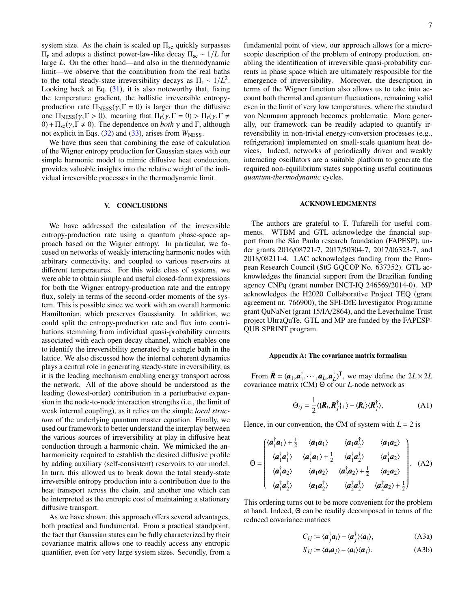system size. As the chain is scaled up  $\Pi_{\rm sc}$  quickly surpasses  $\Pi$ <sub>r</sub> and adopts a distinct power-law-like decay  $\Pi$ <sub>sc</sub> ∼ 1/*L* for large *L*. On the other hand—and also in the thermodynamic limit—we observe that the contribution from the real baths to the total steady-state irreversibility decays as  $\Pi_r \sim 1/L^2$ .<br>Looking back at Eq. (31) it is also noteworthy that fixing Looking back at Eq.  $(31)$ , it is also noteworthy that, fixing the temperature gradient, the ballistic irreversible entropyproduction rate  $\Pi_{NESS}(\gamma, \Gamma = 0)$  is larger than the diffusive one  $\Pi_{\text{NESS}}(\gamma, \Gamma > 0)$ , meaning that  $\Pi_{r}(\gamma, \Gamma = 0) > \Pi_{r}(\gamma, \Gamma \neq 0)$  $0$ ) + Π<sub>sc</sub>(γ, Γ ≠ 0). The dependence on *both* γ and Γ, although not explicit in Eqs. [\(32\)](#page-5-2) and [\(33\)](#page-5-6), arises from  $W<sub>NESS</sub>$ .

We have thus seen that combining the ease of calculation of the Wigner entropy production for Gaussian states with our simple harmonic model to mimic diffusive heat conduction, provides valuable insights into the relative weight of the individual irreversible processes in the thermodynamic limit.

### <span id="page-6-0"></span>V. CONCLUSIONS

We have addressed the calculation of the irreversible entropy-production rate using a quantum phase-space approach based on the Wigner entropy. In particular, we focused on networks of weakly interacting harmonic nodes with arbitrary connectivity, and coupled to various reservoirs at different temperatures. For this wide class of systems, we were able to obtain simple and useful closed-form expressions for both the Wigner entropy-production rate and the entropy flux, solely in terms of the second-order moments of the system. This is possible since we work with an overall harmonic Hamiltonian, which preserves Gaussianity. In addition, we could split the entropy-production rate and flux into contributions stemming from individual quasi-probability currents associated with each open decay channel, which enables one to identify the irreversibility generated by a single bath in the lattice. We also discussed how the internal coherent dynamics plays a central role in generating steady-state irreversibility, as it is the leading mechanism enabling energy transport across the network. All of the above should be understood as the leading (lowest-order) contribution in a perturbative expansion in the node-to-node interaction strengths (i.e., the limit of weak internal coupling), as it relies on the simple *local structure* of the underlying quantum master equation. Finally, we used our framework to better understand the interplay between the various sources of irreversibility at play in diffusive heat conduction through a harmonic chain. We mimicked the anharmonicity required to establish the desired diffusive profile by adding auxiliary (self-consistent) reservoirs to our model. In turn, this allowed us to break down the total steady-state irreversible entropy production into a contribution due to the heat transport across the chain, and another one which can be interpreted as the entropic cost of maintaining a stationary diffusive transport.

As we have shown, this approach offers several advantages, both practical and fundamental. From a practical standpoint, the fact that Gaussian states can be fully characterized by their covariance matrix allows one to readily access any entropic quantifier, even for very large system sizes. Secondly, from a

fundamental point of view, our approach allows for a microscopic description of the problem of entropy production, enabling the identification of irreversible quasi-probability currents in phase space which are ultimately responsible for the emergence of irreversibility. Moreover, the description in terms of the Wigner function also allows us to take into account both thermal and quantum fluctuations, remaining valid even in the limit of very low temperatures, where the standard von Neumann approach becomes problematic. More generally, our framework can be readily adapted to quantify irreversibility in non-trivial energy-conversion processes (e.g., refrigeration) implemented on small-scale quantum heat devices. Indeed, networks of periodically driven and weakly interacting oscillators are a suitable platform to generate the required non-equilibrium states supporting useful continuous *quantum-thermodynamic* cycles.

## ACKNOWLEDGMENTS

The authors are grateful to T. Tufarelli for useful comments. WTBM and GTL acknowledge the financial support from the São Paulo research foundation (FAPESP), under grants 2016/08721-7, 2017/50304-7, 2017/06323-7, and 2018/08211-4. LAC acknowledges funding from the European Research Council (StG GQCOP No. 637352). GTL acknowledges the financial support from the Brazilian funding agency CNPq (grant number INCT-IQ 246569/2014-0). MP acknowledges the H2020 Collaborative Project TEQ (grant agreement nr. 766900), the SFI-DfE Investigator Programme grant QuNaNet (grant 15/IA/2864), and the Leverhulme Trust project UltraQuTe. GTL and MP are funded by the FAPESP-QUB SPRINT program.

## <span id="page-6-1"></span>Appendix A: The covariance matrix formalism

From  $\bar{\bm{R}} = (\bm{a}_1, \bm{a}_1^{\dagger})$ <br>variance matrix ( 1 ,··· ,*aL*,*<sup>a</sup>* †  $(L^{\dagger})^{\dagger}$ , we may define the  $2L \times 2L$ covariance matrix (CM) Θ of our *L*-node network as

$$
\Theta_{ij} = \frac{1}{2} \langle \{ \boldsymbol{R}_i, \boldsymbol{R}_j^{\dagger} \} _+ \rangle - \langle \boldsymbol{R}_i \rangle \langle \boldsymbol{R}_j^{\dagger} \rangle, \tag{A1}
$$

Hence, in our convention, the CM of system with  $L = 2$  is

$$
\Theta = \begin{pmatrix}\n\langle a_1^{\dagger} a_1 \rangle + \frac{1}{2} & \langle a_1 a_1 \rangle & \langle a_1 a_2^{\dagger} \rangle & \langle a_1 a_2 \rangle \\
\langle a_1^{\dagger} a_1^{\dagger} \rangle & \langle a_1^{\dagger} a_1 \rangle + \frac{1}{2} & \langle a_1^{\dagger} a_2^{\dagger} \rangle & \langle a_1^{\dagger} a_2 \rangle \\
\langle a_1^{\dagger} a_2 \rangle & \langle a_1 a_2 \rangle & \langle a_2^{\dagger} a_2 \rangle + \frac{1}{2} & \langle a_2 a_2 \rangle \\
\langle a_1^{\dagger} a_2^{\dagger} \rangle & \langle a_1 a_2^{\dagger} \rangle & \langle a_2^{\dagger} a_2^{\dagger} \rangle & \langle a_2^{\dagger} a_2 \rangle + \frac{1}{2}\n\end{pmatrix}.
$$
 (A2)

This ordering turns out to be more convenient for the problem at hand. Indeed, Θ can be readily decomposed in terms of the reduced covariance matrices

<span id="page-6-2"></span>
$$
C_{ij} := \langle \mathbf{a}_j^{\dagger} \mathbf{a}_i \rangle - \langle \mathbf{a}_j^{\dagger} \rangle \langle \mathbf{a}_i \rangle, \tag{A3a}
$$

$$
S_{ij} := \langle \boldsymbol{a}_i \boldsymbol{a}_j \rangle - \langle \boldsymbol{a}_i \rangle \langle \boldsymbol{a}_j \rangle. \tag{A3b}
$$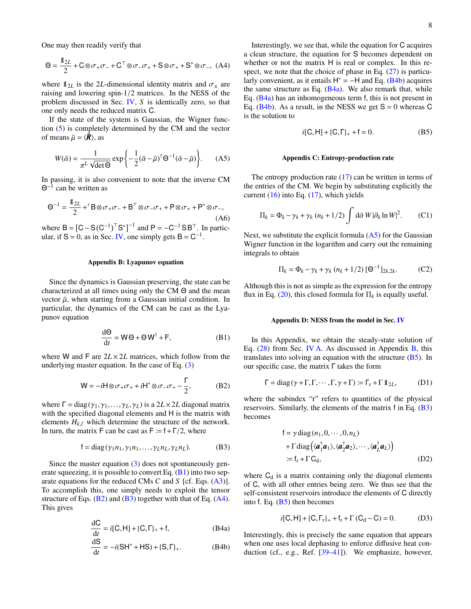One may then readily verify that

<span id="page-7-5"></span>
$$
\Theta = \frac{\mathbb{1}_{2L}}{2} + \mathbf{C} \otimes \sigma_+ \sigma_- + \mathbf{C}^\top \otimes \sigma_- \sigma_+ + \mathbf{S} \otimes \sigma_+ + \mathbf{S}^* \otimes \sigma_-, \text{ (A4)}
$$

where  $1\!\!1_{2L}$  is the 2*L*-dimensional identity matrix and  $\sigma_{\pm}$  are raising and lowering spin-1/2 matrices. In the NESS of the problem discussed in Sec. [IV,](#page-3-0) *S* is identically zero, so that one only needs the reduced matrix C.

If the state of the system is Gaussian, the Wigner function [\(5\)](#page-1-4) is completely determined by the CM and the vector of means  $\bar{\mu} = \langle \bar{R} \rangle$ , as

<span id="page-7-8"></span>
$$
W(\bar{\alpha}) = \frac{1}{\pi^L \sqrt{\det \Theta}} \exp \left\{-\frac{1}{2} (\bar{\alpha} - \bar{\mu})^{\dagger} \Theta^{-1} (\bar{\alpha} - \bar{\mu})\right\}.
$$
 (A5)

In passing, it is also convenient to note that the inverse CM  $\Theta^{-1}$  can be written as

$$
\Theta^{-1} = \frac{\mathbb{1}_{2L}}{2} + \mathbf{B} \otimes \sigma_+ \sigma_- + \mathbf{B}^\top \otimes \sigma_- \sigma_+ + \mathbf{P} \otimes \sigma_+ + \mathbf{P}^* \otimes \sigma_-,
$$
\n(A6)

where  $B = [C - S(C^{-1})^T S^*]^{-1}$  and  $P = -C^{-1} S B^T$ . In particular, if  $S = 0$ , as in Sec. [IV,](#page-3-0) one simply gets  $B = C^{-1}$ .

### <span id="page-7-9"></span>Appendix B: Lyapunov equation

Since the dynamics is Gaussian preserving, the state can be characterized at all times using only the CM Θ and the mean vector  $\bar{\mu}$ , when starting from a Gaussian initial condition. In particular, the dynamics of the CM can be cast as the Lyapunov equation

<span id="page-7-2"></span>
$$
\frac{d\Theta}{dt} = W\Theta + \Theta W^{\dagger} + F,
$$
 (B1)

where W and  $F$  are  $2L \times 2L$  matrices, which follow from the underlying master equation. In the case of Eq. [\(3\)](#page-1-1)

<span id="page-7-3"></span>
$$
\mathsf{W} = -i\mathsf{H} \otimes \sigma_+ \sigma_+ + i\mathsf{H}^* \otimes \sigma_- \sigma_+ - \frac{\Gamma}{2},\tag{B2}
$$

where  $\Gamma = \text{diag}(\gamma_1, \gamma_1, \dots, \gamma_L, \gamma_L)$  is a  $2L \times 2L$  diagonal matrix with the specified diagonal elements and H is the matrix with elements  $H_{k,\ell}$  which determine the structure of the network. In turn, the matrix F can be cast as  $F := f + \Gamma/2$ , where

<span id="page-7-4"></span>
$$
f = diag(\gamma_1 n_1, \gamma_1 n_1, \dots, \gamma_L n_L, \gamma_L n_L).
$$
 (B3)

Since the master equation [\(3\)](#page-1-1) does not spontaneously generate squeezing, it is possible to convert Eq.  $(B1)$  into two separate equations for the reduced CMs *C* and *S* [cf. Eqs. [\(A3\)](#page-6-2)]. To accomplish this, one simply needs to exploit the tensor structure of Eqs.  $(B2)$  and  $(B3)$  together with that of Eq.  $(A4)$ . This gives

$$
\frac{dC}{dt} = i[C, H] + \{C, \Gamma\}_+ + f,\tag{B4a}
$$

$$
\frac{dS}{dt} = -i(SH^* + HS) + \{S, \Gamma\}_+.
$$
 (B4b)

Interestingly, we see that, while the equation for C acquires a clean structure, the equation for S becomes dependent on whether or not the matrix H is real or complex. In this re-spect, we note that the choice of phase in Eq. [\(27\)](#page-4-4) is particularly convenient, as it entails  $H^* = -H$  and Eq. [\(B4b\)](#page-7-6) acquires the same structure as Eq.  $(B4a)$ . We also remark that, while Eq. [\(B4a\)](#page-7-7) has an inhomogeneous term f, this is not present in Eq.  $(B4b)$ . As a result, in the NESS we get  $S = 0$  whereas C is the solution to

<span id="page-7-10"></span>
$$
i[C, H] + \{C, \Gamma\}_+ + f = 0. \tag{B5}
$$

## <span id="page-7-0"></span>Appendix C: Entropy-production rate

The entropy production rate  $(17)$  can be written in terms of the entries of the CM. We begin by substituting explicitly the current  $(16)$  into Eq.  $(17)$ , which yields

$$
\Pi_k = \Phi_k - \gamma_k + \gamma_k (n_k + 1/2) \int d\bar{\alpha} \, W |\partial_k \ln W|^2. \tag{C1}
$$

Next, we substitute the explicit formula  $(A<sub>5</sub>)$  for the Gaussian Wigner function in the logarithm and carry out the remaining integrals to obtain

<span id="page-7-12"></span>
$$
\Pi_k = \Phi_k - \gamma_k + \gamma_k (n_k + 1/2) [\Theta^{-1}]_{2k, 2k}.
$$
 (C2)

Although this is not as simple as the expression for the entropy flux in Eq. [\(20\)](#page-2-7), this closed formula for  $\Pi_k$  is equally useful.

### <span id="page-7-1"></span>Appendix D: NESS from the model in Sec. [IV](#page-3-0)

In this Appendix, we obtain the steady-state solution of Eq. [\(28\)](#page-4-1) from Sec. [IV A.](#page-4-5) As discussed in Appendix [B,](#page-7-9) this translates into solving an equation with the structure  $(B5)$ . In our specific case, the matrix Γ takes the form

$$
\Gamma = \text{diag}\left(\gamma + \Gamma, \Gamma, \cdots, \Gamma, \gamma + \Gamma\right) := \Gamma_r + \Gamma \mathbb{1}_{2L},\tag{D1}
$$

where the subindex "r" refers to quantities of the physical reservoirs. Similarly, the elements of the matrix f in Eq.  $(B3)$ becomes

$$
f = \gamma \operatorname{diag}(n_1, 0, \dots, 0, n_L)
$$
  
+ 
$$
\Gamma \operatorname{diag}(\langle a_1^{\dagger} a_1 \rangle, \langle a_2^{\dagger} a_2 \rangle, \dots, \langle a_L^{\dagger} a_L \rangle)
$$
  
:= 
$$
f_r + \Gamma C_d,
$$
 (D2)

where  $C_d$  is a matrix containing only the diagonal elements of C, with all other entries being zero. We thus see that the self-consistent reservoirs introduce the elements of C directly into f. Eq.  $(B5)$  then becomes

<span id="page-7-11"></span>
$$
i[C, H] + \{C, \Gamma_r\}_+ + f_r + \Gamma(C_d - C) = 0.
$$
 (D3)

<span id="page-7-7"></span><span id="page-7-6"></span>Interestingly, this is precisely the same equation that appears when one uses local dephasing to enforce diffusive heat conduction (cf., e.g., Ref. [\[39–](#page-9-10)[41\]](#page-9-14)). We emphasize, however,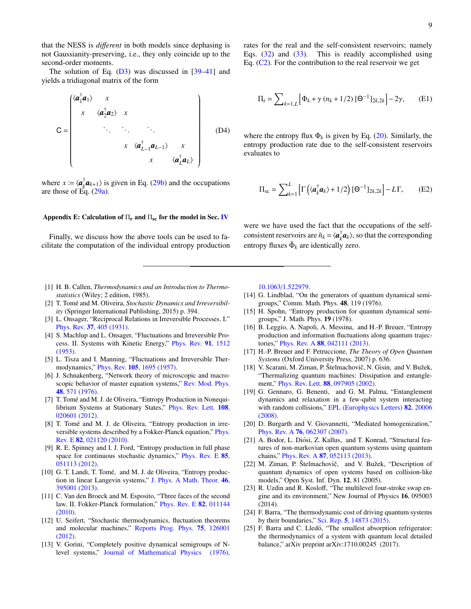that the NESS is *di*ff*erent* in both models since dephasing is not Gaussianity-preserving, i.e., they only coincide up to the second-order moments.

The solution of Eq.  $(D3)$  was discussed in [\[39–](#page-9-10)[41\]](#page-9-14) and yields a tridiagonal matrix of the form

$$
C = \begin{pmatrix} \langle a_1^{\dagger} a_1 \rangle & x & & & \\ & x & \langle a_2^{\dagger} a_2 \rangle & x & & \\ & & \ddots & \ddots & \ddots & \\ & & & x & \langle a_{L-1}^{\dagger} a_{L-1} \rangle & x \\ & & & x & \langle a_L^{\dagger} a_L \rangle \end{pmatrix}
$$
 (D4)

where  $x := \langle \boldsymbol{a}_k^{\dagger} \rangle$  $\binom{n}{k}a_{k+1}$  is given in Eq. [\(29b\)](#page-4-3) and the occupations are those of Eq.  $(29a)$ .

#### <span id="page-8-11"></span>Appendix E: Calculation of  $\Pi_r$  and  $\Pi_{sc}$  for the model in Sec. [IV](#page-3-0)

Finally, we discuss how the above tools can be used to facilitate the computation of the individual entropy production rates for the real and the self-consistent reservoirs; namely Eqs. [\(32\)](#page-5-2) and [\(33\)](#page-5-6). This is readily accomplished using Eq. [\(C2\)](#page-7-12). For the contribution to the real reservoir we get

$$
\Pi_{\mathbf{r}} = \sum_{k=1,L} \left[ \Phi_k + \gamma \left( n_k + 1/2 \right) \left[ \Theta^{-1} \right]_{2k,2k} \right] - 2\gamma, \qquad (E1)
$$

where the entropy flux  $\Phi_k$  is given by Eq. [\(20\)](#page-2-7). Similarly, the entropy production rate due to the self-consistent reservoirs evaluates to

$$
\Pi_{\rm sc} = \sum_{k=1}^{L} \left[ \Gamma \left( \langle \mathbf{a}_{k}^{\dagger} \mathbf{a}_{k} \rangle + 1/2 \right) [\Theta^{-1}]_{2k,2k} \right] - L\Gamma, \qquad \text{(E2)}
$$

were we have used the fact that the occupations of the selfconsistent reservoirs are  $\tilde{n}_k = \langle \boldsymbol{a}_k^{\dagger} \rangle$  $\bar{k}$ **a**<sub>*k*</sub> $\}$ , so that the corresponding entropy fluxes  $\tilde{\Phi}_k$  are identically zero.

- <span id="page-8-0"></span>[1] H. B. Callen, *Thermodynamics and an Introduction to Thermostatistics* (Wiley; 2 edition, 1985).
- <span id="page-8-1"></span>[2] T. Tomé and M. Oliveira, Stochastic Dynamics and Irreversibil*ity* (Springer International Publishing, 2015) p. 394.
- <span id="page-8-2"></span>[3] L. Onsager, "Reciprocal Relations in Irreversible Processes. I." Phys. Rev. 37[, 405 \(1931\).](http://dx.doi.org/ 10.1103/PhysRev.37.405)
- [4] S. Machlup and L. Onsager, "Fluctuations and Irreversible Process. II. Systems with Kinetic Energy," [Phys. Rev.](http://dx.doi.org/10.1103/PhysRev.91.1512) 91, 1512 [\(1953\).](http://dx.doi.org/10.1103/PhysRev.91.1512)
- <span id="page-8-3"></span>[5] L. Tisza and I. Manning, "Fluctuations and Irreversible Thermodynamics," Phys. Rev. 105[, 1695 \(1957\).](http://dx.doi.org/ 10.1103/PhysRev.105.1695)
- <span id="page-8-4"></span>[6] J. Schnakenberg, "Network theory of microscopic and macroscopic behavior of master equation systems," [Rev. Mod. Phys.](http://dx.doi.org/10.1103/RevModPhys.48.571) 48[, 571 \(1976\).](http://dx.doi.org/10.1103/RevModPhys.48.571)
- <span id="page-8-5"></span>[7] T. Tomé and M. J. de Oliveira, "Entropy Production in Nonequilibrium Systems at Stationary States," [Phys. Rev. Lett.](http://dx.doi.org/10.1103/PhysRevLett.108.020601) 108, [020601 \(2012\).](http://dx.doi.org/10.1103/PhysRevLett.108.020601)
- <span id="page-8-6"></span>[8] T. Tomé and M. J. de Oliveira, "Entropy production in irreversible systems described by a Fokker-Planck equation," [Phys.](http://dx.doi.org/10.1103/PhysRevE.82.021120) Rev. E 82[, 021120 \(2010\).](http://dx.doi.org/10.1103/PhysRevE.82.021120)
- <span id="page-8-15"></span>[9] R. E. Spinney and I. J. Ford, "Entropy production in full phase space for continuous stochastic dynamics," [Phys. Rev. E](http://dx.doi.org/10.1103/PhysRevE.85.051113) 85, [051113 \(2012\).](http://dx.doi.org/10.1103/PhysRevE.85.051113)
- [10] G. T. Landi, T. Tomé, and M. J. de Oliveira, "Entropy production in linear Langevin systems," [J. Phys. A Math. Theor.](http://dx.doi.org/10.1088/1751-8113/46/39/395001) 46, [395001 \(2013\).](http://dx.doi.org/10.1088/1751-8113/46/39/395001)
- [11] C. Van den Broeck and M. Esposito, "Three faces of the second law. II. Fokker-Planck formulation," [Phys. Rev. E](http://dx.doi.org/ 10.1103/PhysRevE.82.011144) 82, 011144 [\(2010\).](http://dx.doi.org/ 10.1103/PhysRevE.82.011144)
- <span id="page-8-7"></span>[12] U. Seifert, "Stochastic thermodynamics, fluctuation theorems and molecular machines," [Reports Prog. Phys.](http://dx.doi.org/10.1088/0034-4885/75/12/126001) 75, 126001 [\(2012\).](http://dx.doi.org/10.1088/0034-4885/75/12/126001)
- <span id="page-8-8"></span>[13] V. Gorini, "Completely positive dynamical semigroups of Nlevel systems," [Journal of Mathematical Physics \(1976\),](http://dx.doi.org/ 10.1063/1.522979)

10.1063/[1.522979.](http://dx.doi.org/ 10.1063/1.522979)

- <span id="page-8-12"></span>[14] G. Lindblad, "On the generators of quantum dynamical semigroups," Comm. Math. Phys. 48, 119 (1976).
- [15] H. Spohn, "Entropy production for quantum dynamical semigroups," J. Math. Phys. 19 (1978).
- [16] B. Leggio, A. Napoli, A. Messina, and H.-P. Breuer, "Entropy production and information fluctuations along quantum trajectories," Phys. Rev. A 88[, 042111 \(2013\).](http://dx.doi.org/ 10.1103/PhysRevA.88.042111)
- <span id="page-8-9"></span>[17] H.-P. Breuer and F. Petruccione, *The Theory of Open Quantum Systems* (Oxford University Press, 2007) p. 636.
- <span id="page-8-10"></span>[18] V. Scarani, M. Ziman, P. Štelmachovič, N. Gisin, and V. Bužek, "Thermalizing quantum machines: Dissipation and entanglement," Phys. Rev. Lett. 88[, 097905 \(2002\).](http://dx.doi.org/ 10.1103/PhysRevLett.88.097905)
- [19] G. Gennaro, G. Benenti, and G. M. Palma, "Entanglement dynamics and relaxation in a few-qubit system interacting with random collisions," [EPL \(Europhysics Letters\)](http://dx.doi.org/10.1209/0295-5075/82/20006) 82, 20006 [\(2008\).](http://dx.doi.org/10.1209/0295-5075/82/20006)
- [20] D. Burgarth and V. Giovannetti, "Mediated homogenization," Phys. Rev. A 76[, 062307 \(2007\).](http://dx.doi.org/10.1103/PhysRevA.76.062307)
- [21] A. Bodor, L. Diósi, Z. Kallus, and T. Konrad, "Structural features of non-markovian open quantum systems using quantum chains," Phys. Rev. A 87[, 052113 \(2013\).](http://dx.doi.org/ 10.1103/PhysRevA.87.052113)
- [22] M. Ziman, P. Štelmachovič, and V. Bužek, "Description of quantum dynamics of open systems based on collision-like models," Open Syst. Inf. Dyn. 12, 81 (2005).
- [23] R. Uzdin and R. Kosloff, "The multilevel four-stroke swap engine and its environment," New Journal of Physics 16, 095003 (2014).
- <span id="page-8-13"></span>[24] F. Barra, "The thermodynamic cost of driving quantum systems by their boundaries," Sci. Rep. 5[, 14873 \(2015\).](http://dx.doi.org/10.1038/srep14873 http://10.0.4.14/srep14873)
- <span id="page-8-14"></span>[25] F. Barra and C. Lledó, "The smallest absorption refrigerator: the thermodynamics of a system with quantum local detailed balance," arXiv preprint arXiv:1710.00245 (2017).